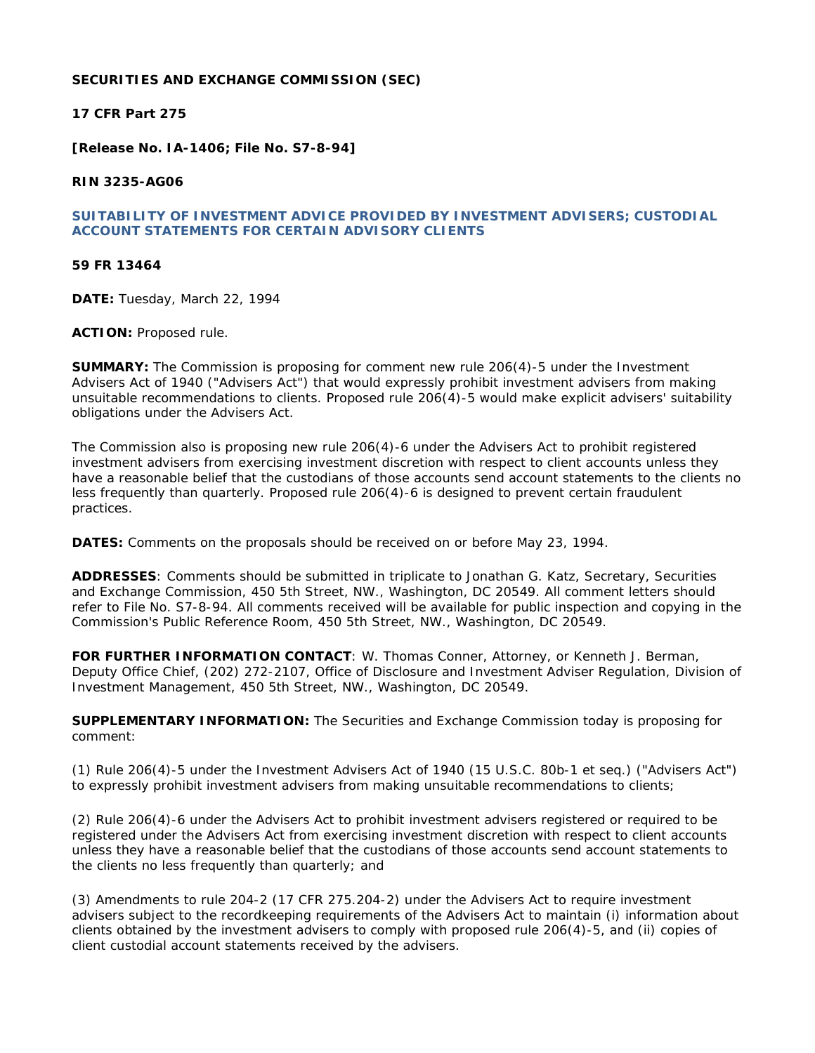## **SECURITIES AND EXCHANGE COMMISSION (SEC)**

**17 CFR Part 275**

**[Release No. IA-1406; File No. S7-8-94]**

#### **RIN 3235-AG06**

### **SUITABILITY OF INVESTMENT ADVICE PROVIDED BY INVESTMENT ADVISERS; CUSTODIAL ACCOUNT STATEMENTS FOR CERTAIN ADVISORY CLIENTS**

#### **59 FR 13464**

**DATE:** Tuesday, March 22, 1994

**ACTION:** Proposed rule.

**SUMMARY:** The Commission is proposing for comment new rule 206(4)-5 under the Investment Advisers Act of 1940 ("Advisers Act") that would expressly prohibit investment advisers from making unsuitable recommendations to clients. Proposed rule 206(4)-5 would make explicit advisers' suitability obligations under the Advisers Act.

The Commission also is proposing new rule 206(4)-6 under the Advisers Act to prohibit registered investment advisers from exercising investment discretion with respect to client accounts unless they have a reasonable belief that the custodians of those accounts send account statements to the clients no less frequently than quarterly. Proposed rule 206(4)-6 is designed to prevent certain fraudulent practices.

**DATES:** Comments on the proposals should be received on or before May 23, 1994.

**ADDRESSES**: Comments should be submitted in triplicate to Jonathan G. Katz, Secretary, Securities and Exchange Commission, 450 5th Street, NW., Washington, DC 20549. All comment letters should refer to File No. S7-8-94. All comments received will be available for public inspection and copying in the Commission's Public Reference Room, 450 5th Street, NW., Washington, DC 20549.

**FOR FURTHER INFORMATION CONTACT**: W. Thomas Conner, Attorney, or Kenneth J. Berman, Deputy Office Chief, (202) 272-2107, Office of Disclosure and Investment Adviser Regulation, Division of Investment Management, 450 5th Street, NW., Washington, DC 20549.

**SUPPLEMENTARY INFORMATION:** The Securities and Exchange Commission today is proposing for comment:

(1) Rule 206(4)-5 under the Investment Advisers Act of 1940 (15 U.S.C. 80b-1 et seq.) ("Advisers Act") to expressly prohibit investment advisers from making unsuitable recommendations to clients;

(2) Rule 206(4)-6 under the Advisers Act to prohibit investment advisers registered or required to be registered under the Advisers Act from exercising investment discretion with respect to client accounts unless they have a reasonable belief that the custodians of those accounts send account statements to the clients no less frequently than quarterly; and

(3) Amendments to rule 204-2 (17 CFR 275.204-2) under the Advisers Act to require investment advisers subject to the recordkeeping requirements of the Advisers Act to maintain (i) information about clients obtained by the investment advisers to comply with proposed rule 206(4)-5, and (ii) copies of client custodial account statements received by the advisers.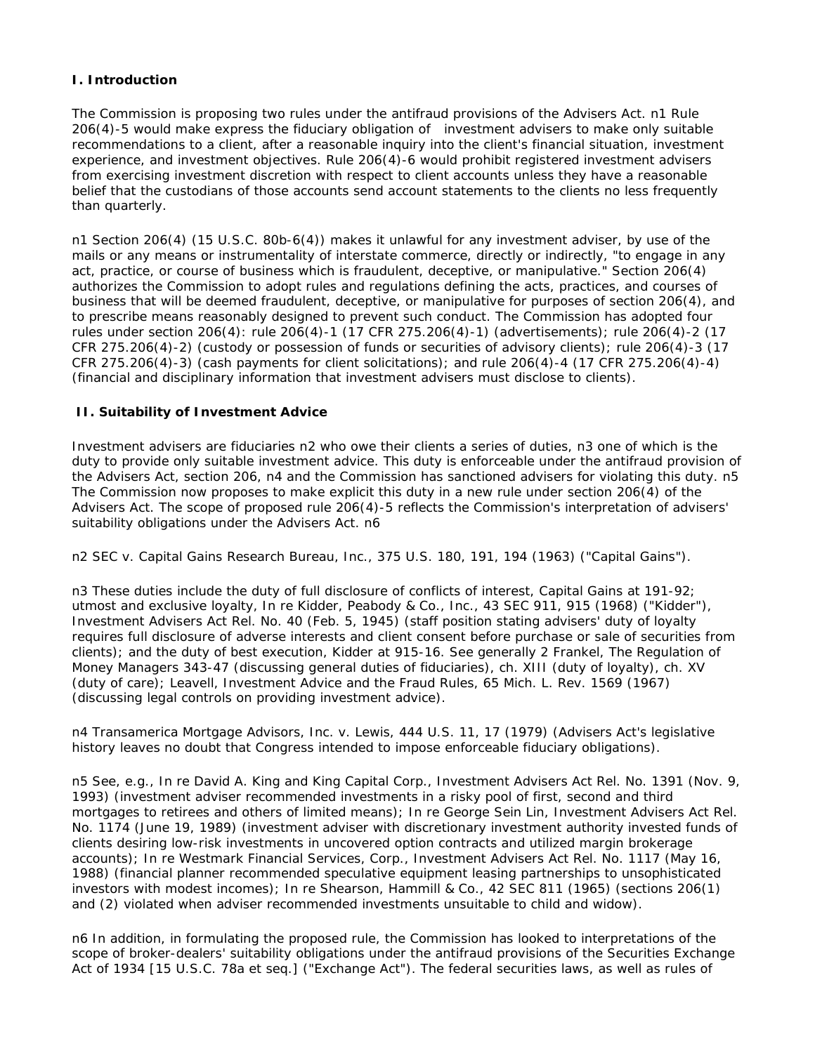# **I. Introduction**

The Commission is proposing two rules under the antifraud provisions of the Advisers Act. n1 Rule 206(4)-5 would make express the fiduciary obligation of investment advisers to make only suitable recommendations to a client, after a reasonable inquiry into the client's financial situation, investment experience, and investment objectives. Rule 206(4)-6 would prohibit registered investment advisers from exercising investment discretion with respect to client accounts unless they have a reasonable belief that the custodians of those accounts send account statements to the clients no less frequently than quarterly.

n1 Section 206(4) (15 U.S.C. 80b-6(4)) makes it unlawful for any investment adviser, by use of the mails or any means or instrumentality of interstate commerce, directly or indirectly, "to engage in any act, practice, or course of business which is fraudulent, deceptive, or manipulative." Section 206(4) authorizes the Commission to adopt rules and regulations defining the acts, practices, and courses of business that will be deemed fraudulent, deceptive, or manipulative for purposes of section 206(4), and to prescribe means reasonably designed to prevent such conduct. The Commission has adopted four rules under section 206(4): rule 206(4)-1 (17 CFR 275.206(4)-1) (advertisements); rule 206(4)-2 (17 CFR 275.206(4)-2) (custody or possession of funds or securities of advisory clients); rule 206(4)-3 (17 CFR 275.206(4)-3) (cash payments for client solicitations); and rule 206(4)-4 (17 CFR 275.206(4)-4) (financial and disciplinary information that investment advisers must disclose to clients).

## **II. Suitability of Investment Advice**

Investment advisers are fiduciaries n2 who owe their clients a series of duties, n3 one of which is the duty to provide only suitable investment advice. This duty is enforceable under the antifraud provision of the Advisers Act, section 206, n4 and the Commission has sanctioned advisers for violating this duty. n5 The Commission now proposes to make explicit this duty in a new rule under section 206(4) of the Advisers Act. The scope of proposed rule 206(4)-5 reflects the Commission's interpretation of advisers' suitability obligations under the Advisers Act. n6

n2 SEC v. Capital Gains Research Bureau, Inc., 375 U.S. 180, 191, 194 (1963) ("Capital Gains").

n3 These duties include the duty of full disclosure of conflicts of interest, Capital Gains at 191-92; utmost and exclusive loyalty, In re Kidder, Peabody & Co., Inc., 43 SEC 911, 915 (1968) ("Kidder"), Investment Advisers Act Rel. No. 40 (Feb. 5, 1945) (staff position stating advisers' duty of loyalty requires full disclosure of adverse interests and client consent before purchase or sale of securities from clients); and the duty of best execution, Kidder at 915-16. See generally 2 Frankel, The Regulation of Money Managers 343-47 (discussing general duties of fiduciaries), ch. XIII (duty of loyalty), ch. XV (duty of care); Leavell, Investment Advice and the Fraud Rules, 65 Mich. L. Rev. 1569 (1967) (discussing legal controls on providing investment advice).

n4 Transamerica Mortgage Advisors, Inc. v. Lewis, 444 U.S. 11, 17 (1979) (Advisers Act's legislative history leaves no doubt that Congress intended to impose enforceable fiduciary obligations).

n5 See, e.g., In re David A. King and King Capital Corp., Investment Advisers Act Rel. No. 1391 (Nov. 9, 1993) (investment adviser recommended investments in a risky pool of first, second and third mortgages to retirees and others of limited means); In re George Sein Lin, Investment Advisers Act Rel. No. 1174 (June 19, 1989) (investment adviser with discretionary investment authority invested funds of clients desiring low-risk investments in uncovered option contracts and utilized margin brokerage accounts); In re Westmark Financial Services, Corp., Investment Advisers Act Rel. No. 1117 (May 16, 1988) (financial planner recommended speculative equipment leasing partnerships to unsophisticated investors with modest incomes); In re Shearson, Hammill & Co., 42 SEC 811 (1965) (sections 206(1) and (2) violated when adviser recommended investments unsuitable to child and widow).

n6 In addition, in formulating the proposed rule, the Commission has looked to interpretations of the scope of broker-dealers' suitability obligations under the antifraud provisions of the Securities Exchange Act of 1934 [15 U.S.C. 78a et seq.] ("Exchange Act"). The federal securities laws, as well as rules of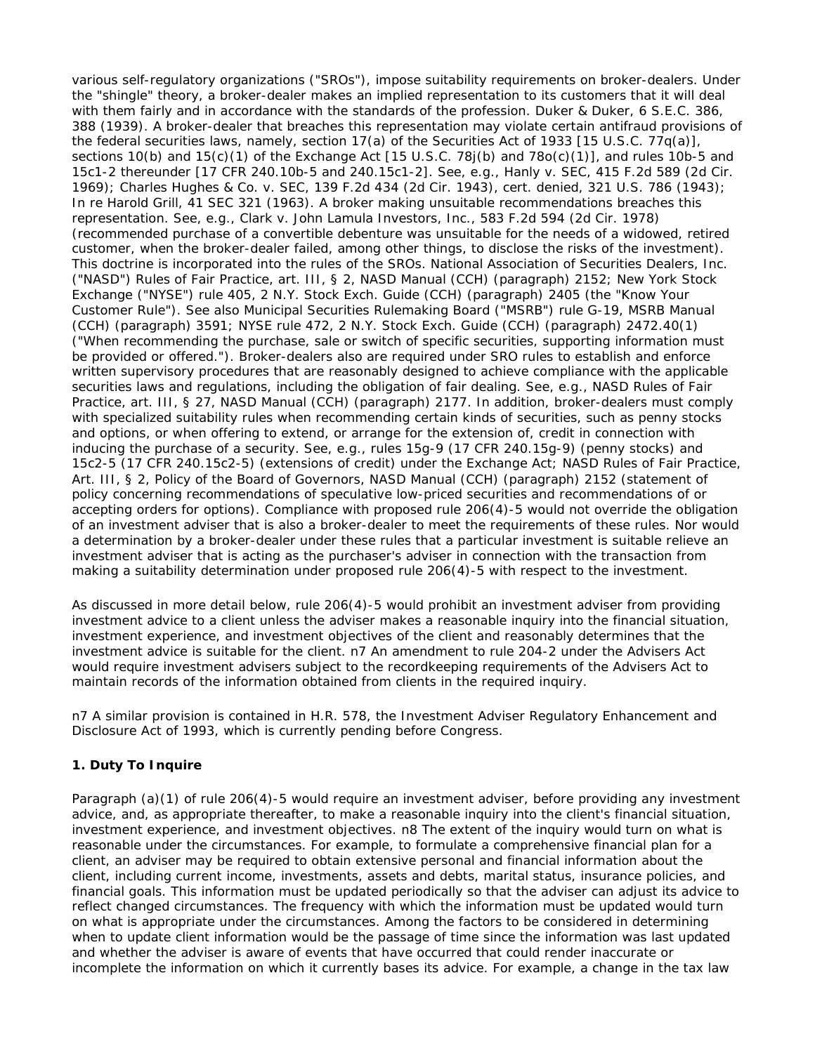various self-regulatory organizations ("SROs"), impose suitability requirements on broker-dealers. Under the "shingle" theory, a broker-dealer makes an implied representation to its customers that it will deal with them fairly and in accordance with the standards of the profession. Duker & Duker, 6 S.E.C. 386, 388 (1939). A broker-dealer that breaches this representation may violate certain antifraud provisions of the federal securities laws, namely, section 17(a) of the Securities Act of 1933 [15 U.S.C. 77q(a)], sections 10(b) and 15(c)(1) of the Exchange Act [15 U.S.C. 78j(b) and 78o(c)(1)], and rules 10b-5 and 15c1-2 thereunder [17 CFR 240.10b-5 and 240.15c1-2]. See, e.g., Hanly v. SEC, 415 F.2d 589 (2d Cir. 1969); Charles Hughes & Co. v. SEC, 139 F.2d 434 (2d Cir. 1943), cert. denied, 321 U.S. 786 (1943); In re Harold Grill, 41 SEC 321 (1963). A broker making unsuitable recommendations breaches this representation. See, e.g., Clark v. John Lamula Investors, Inc., 583 F.2d 594 (2d Cir. 1978) (recommended purchase of a convertible debenture was unsuitable for the needs of a widowed, retired customer, when the broker-dealer failed, among other things, to disclose the risks of the investment). This doctrine is incorporated into the rules of the SROs. National Association of Securities Dealers, Inc. ("NASD") Rules of Fair Practice, art. III, § 2, NASD Manual (CCH) (paragraph) 2152; New York Stock Exchange ("NYSE") rule 405, 2 N.Y. Stock Exch. Guide (CCH) (paragraph) 2405 (the "Know Your Customer Rule"). See also Municipal Securities Rulemaking Board ("MSRB") rule G-19, MSRB Manual (CCH) (paragraph) 3591; NYSE rule 472, 2 N.Y. Stock Exch. Guide (CCH) (paragraph) 2472.40(1) ("When recommending the purchase, sale or switch of specific securities, supporting information must be provided or offered."). Broker-dealers also are required under SRO rules to establish and enforce written supervisory procedures that are reasonably designed to achieve compliance with the applicable securities laws and regulations, including the obligation of fair dealing. See, e.g., NASD Rules of Fair Practice, art. III, § 27, NASD Manual (CCH) (paragraph) 2177. In addition, broker-dealers must comply with specialized suitability rules when recommending certain kinds of securities, such as penny stocks and options, or when offering to extend, or arrange for the extension of, credit in connection with inducing the purchase of a security. See, e.g., rules 15g-9 (17 CFR 240.15g-9) (penny stocks) and 15c2-5 (17 CFR 240.15c2-5) (extensions of credit) under the Exchange Act; NASD Rules of Fair Practice, Art. III, § 2, Policy of the Board of Governors, NASD Manual (CCH) (paragraph) 2152 (statement of policy concerning recommendations of speculative low-priced securities and recommendations of or accepting orders for options). Compliance with proposed rule 206(4)-5 would not override the obligation of an investment adviser that is also a broker-dealer to meet the requirements of these rules. Nor would a determination by a broker-dealer under these rules that a particular investment is suitable relieve an investment adviser that is acting as the purchaser's adviser in connection with the transaction from making a suitability determination under proposed rule 206(4)-5 with respect to the investment.

As discussed in more detail below, rule 206(4)-5 would prohibit an investment adviser from providing investment advice to a client unless the adviser makes a reasonable inquiry into the financial situation, investment experience, and investment objectives of the client and reasonably determines that the investment advice is suitable for the client. n7 An amendment to rule 204-2 under the Advisers Act would require investment advisers subject to the recordkeeping requirements of the Advisers Act to maintain records of the information obtained from clients in the required inquiry.

n7 A similar provision is contained in H.R. 578, the Investment Adviser Regulatory Enhancement and Disclosure Act of 1993, which is currently pending before Congress.

# **1. Duty To Inquire**

Paragraph (a)(1) of rule 206(4)-5 would require an investment adviser, before providing any investment advice, and, as appropriate thereafter, to make a reasonable inquiry into the client's financial situation, investment experience, and investment objectives. n8 The extent of the inquiry would turn on what is reasonable under the circumstances. For example, to formulate a comprehensive financial plan for a client, an adviser may be required to obtain extensive personal and financial information about the client, including current income, investments, assets and debts, marital status, insurance policies, and financial goals. This information must be updated periodically so that the adviser can adjust its advice to reflect changed circumstances. The frequency with which the information must be updated would turn on what is appropriate under the circumstances. Among the factors to be considered in determining when to update client information would be the passage of time since the information was last updated and whether the adviser is aware of events that have occurred that could render inaccurate or incomplete the information on which it currently bases its advice. For example, a change in the tax law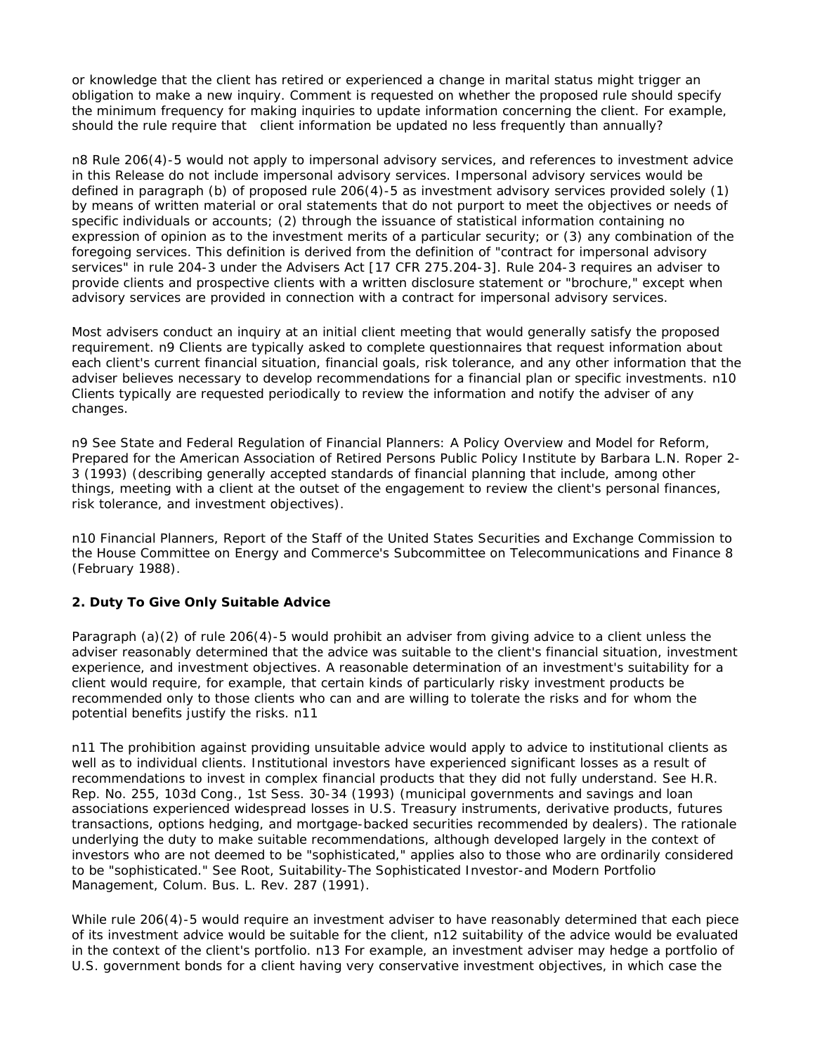or knowledge that the client has retired or experienced a change in marital status might trigger an obligation to make a new inquiry. Comment is requested on whether the proposed rule should specify the minimum frequency for making inquiries to update information concerning the client. For example, should the rule require that client information be updated no less frequently than annually?

n8 Rule 206(4)-5 would not apply to impersonal advisory services, and references to investment advice in this Release do not include impersonal advisory services. Impersonal advisory services would be defined in paragraph (b) of proposed rule 206(4)-5 as investment advisory services provided solely (1) by means of written material or oral statements that do not purport to meet the objectives or needs of specific individuals or accounts; (2) through the issuance of statistical information containing no expression of opinion as to the investment merits of a particular security; or (3) any combination of the foregoing services. This definition is derived from the definition of "contract for impersonal advisory services" in rule 204-3 under the Advisers Act [17 CFR 275.204-3]. Rule 204-3 requires an adviser to provide clients and prospective clients with a written disclosure statement or "brochure," except when advisory services are provided in connection with a contract for impersonal advisory services.

Most advisers conduct an inquiry at an initial client meeting that would generally satisfy the proposed requirement. n9 Clients are typically asked to complete questionnaires that request information about each client's current financial situation, financial goals, risk tolerance, and any other information that the adviser believes necessary to develop recommendations for a financial plan or specific investments. n10 Clients typically are requested periodically to review the information and notify the adviser of any changes.

n9 See State and Federal Regulation of Financial Planners: A Policy Overview and Model for Reform, Prepared for the American Association of Retired Persons Public Policy Institute by Barbara L.N. Roper 2- 3 (1993) (describing generally accepted standards of financial planning that include, among other things, meeting with a client at the outset of the engagement to review the client's personal finances, risk tolerance, and investment objectives).

n10 Financial Planners, Report of the Staff of the United States Securities and Exchange Commission to the House Committee on Energy and Commerce's Subcommittee on Telecommunications and Finance 8 (February 1988).

# **2. Duty To Give Only Suitable Advice**

Paragraph (a)(2) of rule 206(4)-5 would prohibit an adviser from giving advice to a client unless the adviser reasonably determined that the advice was suitable to the client's financial situation, investment experience, and investment objectives. A reasonable determination of an investment's suitability for a client would require, for example, that certain kinds of particularly risky investment products be recommended only to those clients who can and are willing to tolerate the risks and for whom the potential benefits justify the risks. n11

n11 The prohibition against providing unsuitable advice would apply to advice to institutional clients as well as to individual clients. Institutional investors have experienced significant losses as a result of recommendations to invest in complex financial products that they did not fully understand. See H.R. Rep. No. 255, 103d Cong., 1st Sess. 30-34 (1993) (municipal governments and savings and loan associations experienced widespread losses in U.S. Treasury instruments, derivative products, futures transactions, options hedging, and mortgage-backed securities recommended by dealers). The rationale underlying the duty to make suitable recommendations, although developed largely in the context of investors who are not deemed to be "sophisticated," applies also to those who are ordinarily considered to be "sophisticated." See Root, Suitability-The Sophisticated Investor-and Modern Portfolio Management, Colum. Bus. L. Rev. 287 (1991).

While rule 206(4)-5 would require an investment adviser to have reasonably determined that each piece of its investment advice would be suitable for the client, n12 suitability of the advice would be evaluated in the context of the client's portfolio. n13 For example, an investment adviser may hedge a portfolio of U.S. government bonds for a client having very conservative investment objectives, in which case the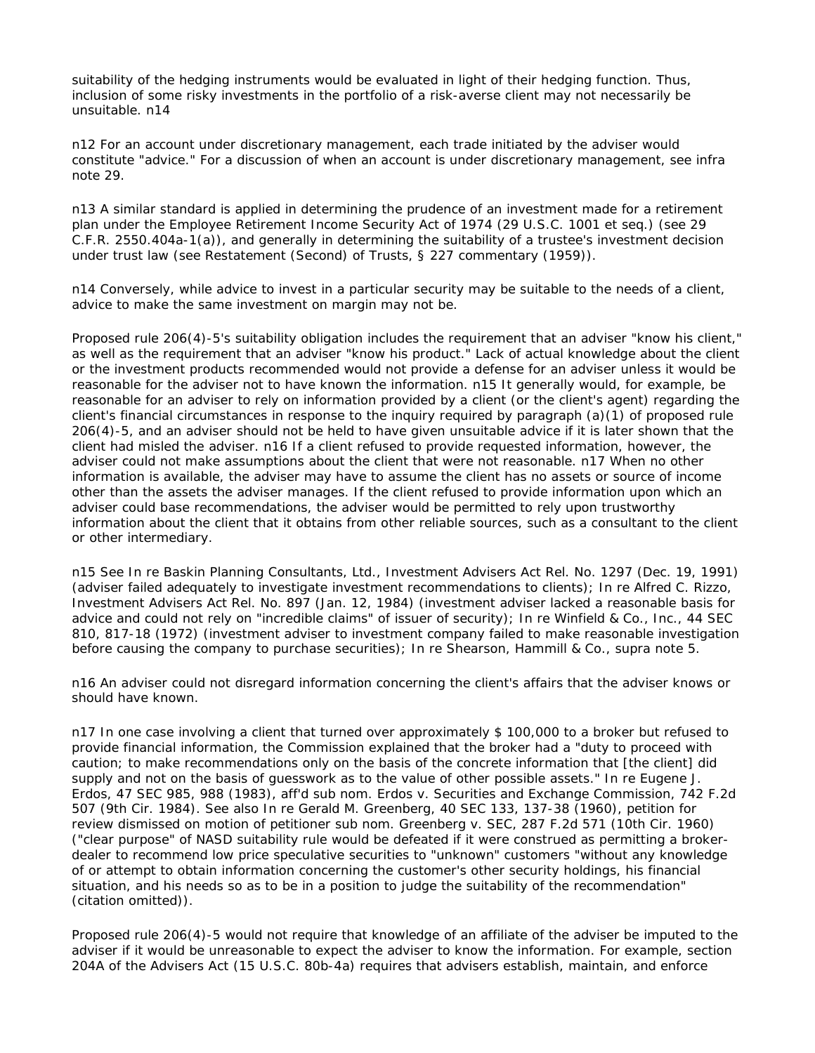suitability of the hedging instruments would be evaluated in light of their hedging function. Thus, inclusion of some risky investments in the portfolio of a risk-averse client may not necessarily be unsuitable. n14

n12 For an account under discretionary management, each trade initiated by the adviser would constitute "advice." For a discussion of when an account is under discretionary management, see infra note 29.

n13 A similar standard is applied in determining the prudence of an investment made for a retirement plan under the Employee Retirement Income Security Act of 1974 (29 U.S.C. 1001 et seq.) (see 29 C.F.R. 2550.404a-1(a)), and generally in determining the suitability of a trustee's investment decision under trust law (see Restatement (Second) of Trusts, § 227 commentary (1959)).

n14 Conversely, while advice to invest in a particular security may be suitable to the needs of a client, advice to make the same investment on margin may not be.

Proposed rule 206(4)-5's suitability obligation includes the requirement that an adviser "know his client," as well as the requirement that an adviser "know his product." Lack of actual knowledge about the client or the investment products recommended would not provide a defense for an adviser unless it would be reasonable for the adviser not to have known the information. n15 It generally would, for example, be reasonable for an adviser to rely on information provided by a client (or the client's agent) regarding the client's financial circumstances in response to the inquiry required by paragraph (a)(1) of proposed rule 206(4)-5, and an adviser should not be held to have given unsuitable advice if it is later shown that the client had misled the adviser. n16 If a client refused to provide requested information, however, the adviser could not make assumptions about the client that were not reasonable. n17 When no other information is available, the adviser may have to assume the client has no assets or source of income other than the assets the adviser manages. If the client refused to provide information upon which an adviser could base recommendations, the adviser would be permitted to rely upon trustworthy information about the client that it obtains from other reliable sources, such as a consultant to the client or other intermediary.

n15 See In re Baskin Planning Consultants, Ltd., Investment Advisers Act Rel. No. 1297 (Dec. 19, 1991) (adviser failed adequately to investigate investment recommendations to clients); In re Alfred C. Rizzo, Investment Advisers Act Rel. No. 897 (Jan. 12, 1984) (investment adviser lacked a reasonable basis for advice and could not rely on "incredible claims" of issuer of security); In re Winfield & Co., Inc., 44 SEC 810, 817-18 (1972) (investment adviser to investment company failed to make reasonable investigation before causing the company to purchase securities); In re Shearson, Hammill & Co., supra note 5.

n16 An adviser could not disregard information concerning the client's affairs that the adviser knows or should have known.

n17 In one case involving a client that turned over approximately \$ 100,000 to a broker but refused to provide financial information, the Commission explained that the broker had a "duty to proceed with caution; to make recommendations only on the basis of the concrete information that [the client] did supply and not on the basis of guesswork as to the value of other possible assets." In re Eugene J. Erdos, 47 SEC 985, 988 (1983), aff'd sub nom. Erdos v. Securities and Exchange Commission, 742 F.2d 507 (9th Cir. 1984). See also In re Gerald M. Greenberg, 40 SEC 133, 137-38 (1960), petition for review dismissed on motion of petitioner sub nom. Greenberg v. SEC, 287 F.2d 571 (10th Cir. 1960) ("clear purpose" of NASD suitability rule would be defeated if it were construed as permitting a brokerdealer to recommend low price speculative securities to "unknown" customers "without any knowledge of or attempt to obtain information concerning the customer's other security holdings, his financial situation, and his needs so as to be in a position to judge the suitability of the recommendation" (citation omitted)).

Proposed rule 206(4)-5 would not require that knowledge of an affiliate of the adviser be imputed to the adviser if it would be unreasonable to expect the adviser to know the information. For example, section 204A of the Advisers Act (15 U.S.C. 80b-4a) requires that advisers establish, maintain, and enforce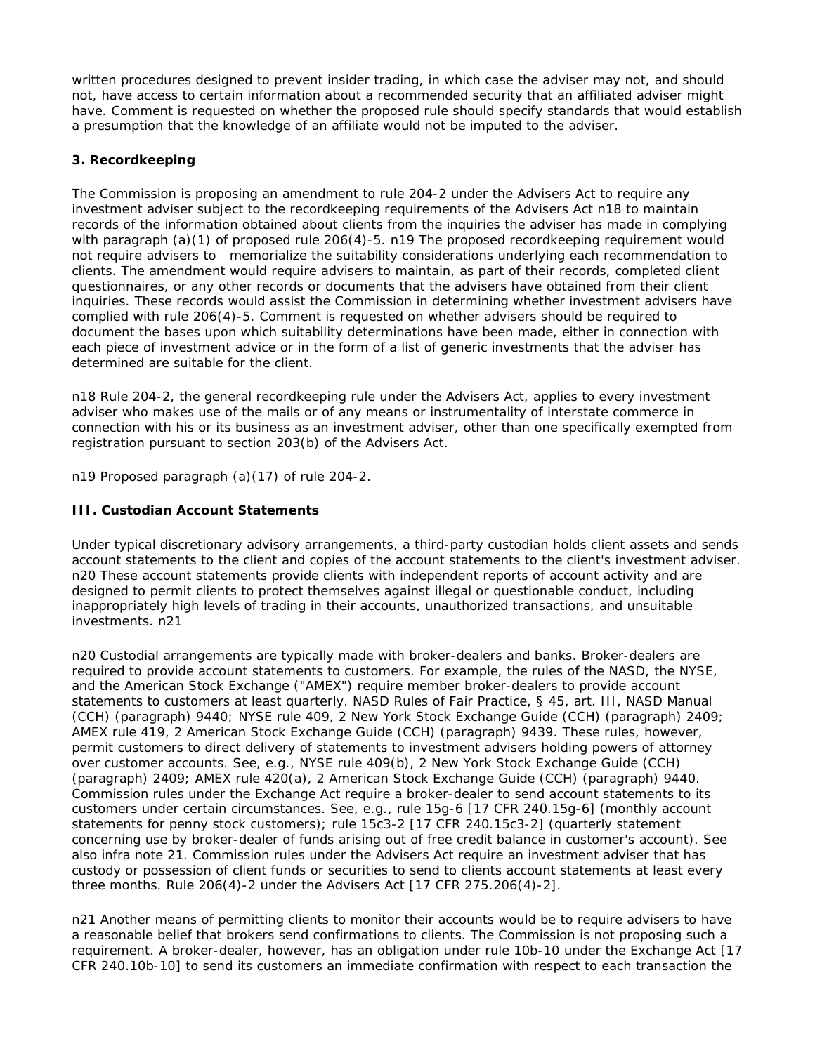written procedures designed to prevent insider trading, in which case the adviser may not, and should not, have access to certain information about a recommended security that an affiliated adviser might have. Comment is requested on whether the proposed rule should specify standards that would establish a presumption that the knowledge of an affiliate would not be imputed to the adviser.

# **3. Recordkeeping**

The Commission is proposing an amendment to rule 204-2 under the Advisers Act to require any investment adviser subject to the recordkeeping requirements of the Advisers Act n18 to maintain records of the information obtained about clients from the inquiries the adviser has made in complying with paragraph (a)(1) of proposed rule 206(4)-5. n19 The proposed recordkeeping requirement would not require advisers to memorialize the suitability considerations underlying each recommendation to clients. The amendment would require advisers to maintain, as part of their records, completed client questionnaires, or any other records or documents that the advisers have obtained from their client inquiries. These records would assist the Commission in determining whether investment advisers have complied with rule 206(4)-5. Comment is requested on whether advisers should be required to document the bases upon which suitability determinations have been made, either in connection with each piece of investment advice or in the form of a list of generic investments that the adviser has determined are suitable for the client.

n18 Rule 204-2, the general recordkeeping rule under the Advisers Act, applies to every investment adviser who makes use of the mails or of any means or instrumentality of interstate commerce in connection with his or its business as an investment adviser, other than one specifically exempted from registration pursuant to section 203(b) of the Advisers Act.

n19 Proposed paragraph (a)(17) of rule 204-2.

## **III. Custodian Account Statements**

Under typical discretionary advisory arrangements, a third-party custodian holds client assets and sends account statements to the client and copies of the account statements to the client's investment adviser. n20 These account statements provide clients with independent reports of account activity and are designed to permit clients to protect themselves against illegal or questionable conduct, including inappropriately high levels of trading in their accounts, unauthorized transactions, and unsuitable investments. n21

n20 Custodial arrangements are typically made with broker-dealers and banks. Broker-dealers are required to provide account statements to customers. For example, the rules of the NASD, the NYSE, and the American Stock Exchange ("AMEX") require member broker-dealers to provide account statements to customers at least quarterly. NASD Rules of Fair Practice, § 45, art. III, NASD Manual (CCH) (paragraph) 9440; NYSE rule 409, 2 New York Stock Exchange Guide (CCH) (paragraph) 2409; AMEX rule 419, 2 American Stock Exchange Guide (CCH) (paragraph) 9439. These rules, however, permit customers to direct delivery of statements to investment advisers holding powers of attorney over customer accounts. See, e.g., NYSE rule 409(b), 2 New York Stock Exchange Guide (CCH) (paragraph) 2409; AMEX rule 420(a), 2 American Stock Exchange Guide (CCH) (paragraph) 9440. Commission rules under the Exchange Act require a broker-dealer to send account statements to its customers under certain circumstances. See, e.g., rule 15g-6 [17 CFR 240.15g-6] (monthly account statements for penny stock customers); rule 15c3-2 [17 CFR 240.15c3-2] (quarterly statement concerning use by broker-dealer of funds arising out of free credit balance in customer's account). See also infra note 21. Commission rules under the Advisers Act require an investment adviser that has custody or possession of client funds or securities to send to clients account statements at least every three months. Rule 206(4)-2 under the Advisers Act [17 CFR 275.206(4)-2].

n21 Another means of permitting clients to monitor their accounts would be to require advisers to have a reasonable belief that brokers send confirmations to clients. The Commission is not proposing such a requirement. A broker-dealer, however, has an obligation under rule 10b-10 under the Exchange Act [17 CFR 240.10b-10] to send its customers an immediate confirmation with respect to each transaction the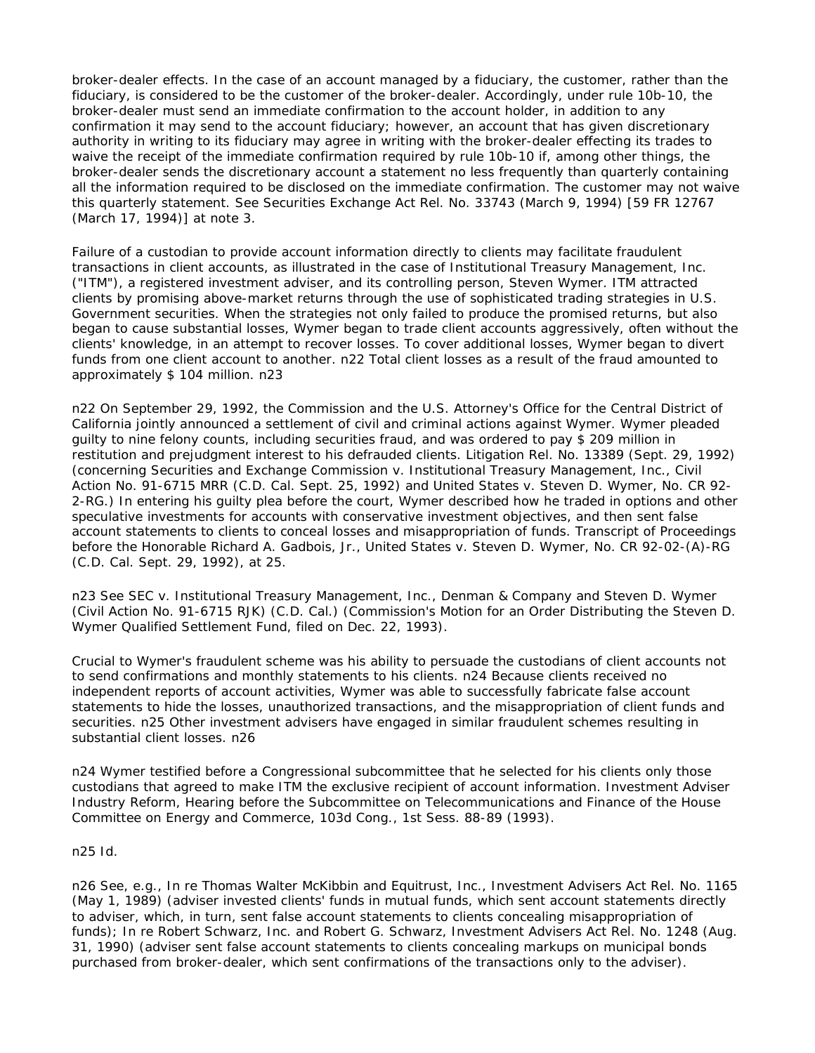broker-dealer effects. In the case of an account managed by a fiduciary, the customer, rather than the fiduciary, is considered to be the customer of the broker-dealer. Accordingly, under rule 10b-10, the broker-dealer must send an immediate confirmation to the account holder, in addition to any confirmation it may send to the account fiduciary; however, an account that has given discretionary authority in writing to its fiduciary may agree in writing with the broker-dealer effecting its trades to waive the receipt of the immediate confirmation required by rule 10b-10 if, among other things, the broker-dealer sends the discretionary account a statement no less frequently than quarterly containing all the information required to be disclosed on the immediate confirmation. The customer may not waive this quarterly statement. See Securities Exchange Act Rel. No. 33743 (March 9, 1994) [59 FR 12767 (March 17, 1994)] at note 3.

Failure of a custodian to provide account information directly to clients may facilitate fraudulent transactions in client accounts, as illustrated in the case of Institutional Treasury Management, Inc. ("ITM"), a registered investment adviser, and its controlling person, Steven Wymer. ITM attracted clients by promising above-market returns through the use of sophisticated trading strategies in U.S. Government securities. When the strategies not only failed to produce the promised returns, but also began to cause substantial losses, Wymer began to trade client accounts aggressively, often without the clients' knowledge, in an attempt to recover losses. To cover additional losses, Wymer began to divert funds from one client account to another. n22 Total client losses as a result of the fraud amounted to approximately \$ 104 million. n23

n22 On September 29, 1992, the Commission and the U.S. Attorney's Office for the Central District of California jointly announced a settlement of civil and criminal actions against Wymer. Wymer pleaded guilty to nine felony counts, including securities fraud, and was ordered to pay \$ 209 million in restitution and prejudgment interest to his defrauded clients. Litigation Rel. No. 13389 (Sept. 29, 1992) (concerning Securities and Exchange Commission v. Institutional Treasury Management, Inc., Civil Action No. 91-6715 MRR (C.D. Cal. Sept. 25, 1992) and United States v. Steven D. Wymer, No. CR 92- 2-RG.) In entering his guilty plea before the court, Wymer described how he traded in options and other speculative investments for accounts with conservative investment objectives, and then sent false account statements to clients to conceal losses and misappropriation of funds. Transcript of Proceedings before the Honorable Richard A. Gadbois, Jr., United States v. Steven D. Wymer, No. CR 92-02-(A)-RG (C.D. Cal. Sept. 29, 1992), at 25.

n23 See SEC v. Institutional Treasury Management, Inc., Denman & Company and Steven D. Wymer (Civil Action No. 91-6715 RJK) (C.D. Cal.) (Commission's Motion for an Order Distributing the Steven D. Wymer Qualified Settlement Fund, filed on Dec. 22, 1993).

Crucial to Wymer's fraudulent scheme was his ability to persuade the custodians of client accounts not to send confirmations and monthly statements to his clients. n24 Because clients received no independent reports of account activities, Wymer was able to successfully fabricate false account statements to hide the losses, unauthorized transactions, and the misappropriation of client funds and securities. n25 Other investment advisers have engaged in similar fraudulent schemes resulting in substantial client losses. n26

n24 Wymer testified before a Congressional subcommittee that he selected for his clients only those custodians that agreed to make ITM the exclusive recipient of account information. Investment Adviser Industry Reform, Hearing before the Subcommittee on Telecommunications and Finance of the House Committee on Energy and Commerce, 103d Cong., 1st Sess. 88-89 (1993).

#### n25 Id.

n26 See, e.g., In re Thomas Walter McKibbin and Equitrust, Inc., Investment Advisers Act Rel. No. 1165 (May 1, 1989) (adviser invested clients' funds in mutual funds, which sent account statements directly to adviser, which, in turn, sent false account statements to clients concealing misappropriation of funds); In re Robert Schwarz, Inc. and Robert G. Schwarz, Investment Advisers Act Rel. No. 1248 (Aug. 31, 1990) (adviser sent false account statements to clients concealing markups on municipal bonds purchased from broker-dealer, which sent confirmations of the transactions only to the adviser).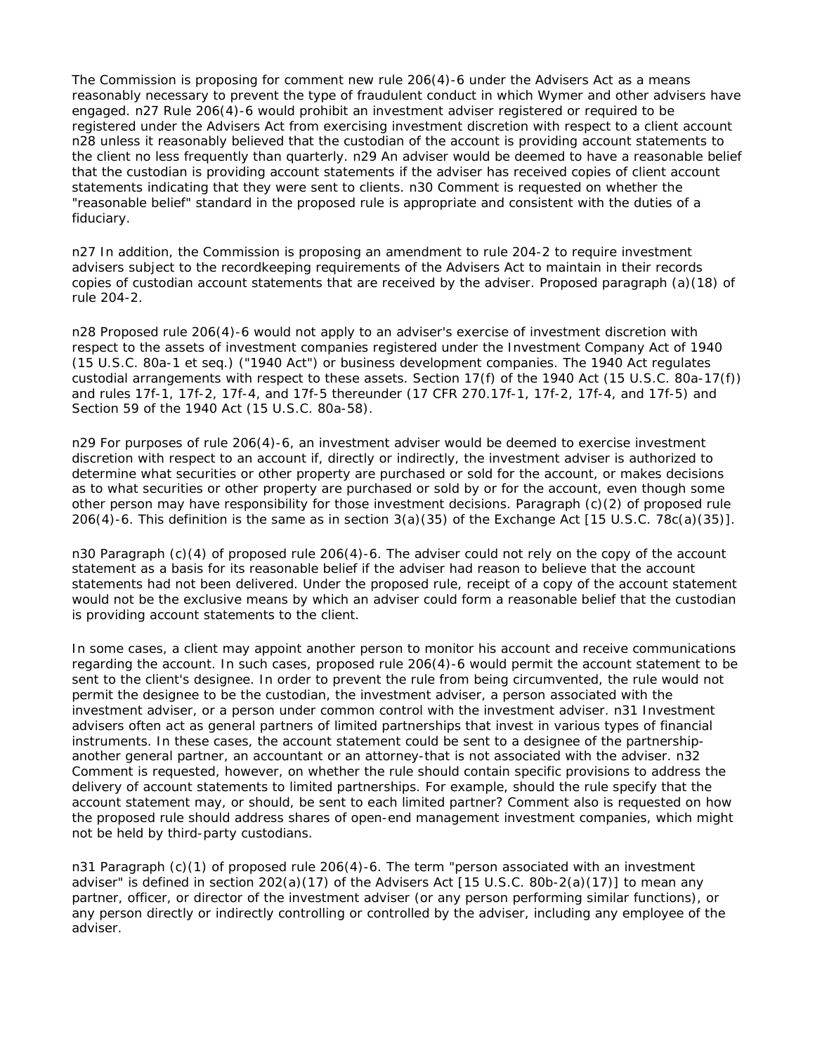The Commission is proposing for comment new rule 206(4)-6 under the Advisers Act as a means reasonably necessary to prevent the type of fraudulent conduct in which Wymer and other advisers have engaged. n27 Rule 206(4)-6 would prohibit an investment adviser registered or required to be registered under the Advisers Act from exercising investment discretion with respect to a client account n28 unless it reasonably believed that the custodian of the account is providing account statements to the client no less frequently than quarterly. n29 An adviser would be deemed to have a reasonable belief that the custodian is providing account statements if the adviser has received copies of client account statements indicating that they were sent to clients. n30 Comment is requested on whether the "reasonable belief" standard in the proposed rule is appropriate and consistent with the duties of a fiduciary.

n27 In addition, the Commission is proposing an amendment to rule 204-2 to require investment advisers subject to the recordkeeping requirements of the Advisers Act to maintain in their records copies of custodian account statements that are received by the adviser. Proposed paragraph (a)(18) of rule 204-2.

n28 Proposed rule 206(4)-6 would not apply to an adviser's exercise of investment discretion with respect to the assets of investment companies registered under the Investment Company Act of 1940 (15 U.S.C. 80a-1 et seq.) ("1940 Act") or business development companies. The 1940 Act regulates custodial arrangements with respect to these assets. Section 17(f) of the 1940 Act (15 U.S.C. 80a-17(f)) and rules 17f-1, 17f-2, 17f-4, and 17f-5 thereunder (17 CFR 270.17f-1, 17f-2, 17f-4, and 17f-5) and Section 59 of the 1940 Act (15 U.S.C. 80a-58).

n29 For purposes of rule 206(4)-6, an investment adviser would be deemed to exercise investment discretion with respect to an account if, directly or indirectly, the investment adviser is authorized to determine what securities or other property are purchased or sold for the account, or makes decisions as to what securities or other property are purchased or sold by or for the account, even though some other person may have responsibility for those investment decisions. Paragraph (c)(2) of proposed rule 206(4)-6. This definition is the same as in section 3(a)(35) of the Exchange Act [15 U.S.C. 78c(a)(35)].

n30 Paragraph (c)(4) of proposed rule 206(4)-6. The adviser could not rely on the copy of the account statement as a basis for its reasonable belief if the adviser had reason to believe that the account statements had not been delivered. Under the proposed rule, receipt of a copy of the account statement would not be the exclusive means by which an adviser could form a reasonable belief that the custodian is providing account statements to the client.

In some cases, a client may appoint another person to monitor his account and receive communications regarding the account. In such cases, proposed rule 206(4)-6 would permit the account statement to be sent to the client's designee. In order to prevent the rule from being circumvented, the rule would not permit the designee to be the custodian, the investment adviser, a person associated with the investment adviser, or a person under common control with the investment adviser. n31 Investment advisers often act as general partners of limited partnerships that invest in various types of financial instruments. In these cases, the account statement could be sent to a designee of the partnershipanother general partner, an accountant or an attorney-that is not associated with the adviser. n32 Comment is requested, however, on whether the rule should contain specific provisions to address the delivery of account statements to limited partnerships. For example, should the rule specify that the account statement may, or should, be sent to each limited partner? Comment also is requested on how the proposed rule should address shares of open-end management investment companies, which might not be held by third-party custodians.

n31 Paragraph (c)(1) of proposed rule 206(4)-6. The term "person associated with an investment adviser" is defined in section  $202(a)(17)$  of the Advisers Act [15 U.S.C. 80b-2(a)(17)] to mean any partner, officer, or director of the investment adviser (or any person performing similar functions), or any person directly or indirectly controlling or controlled by the adviser, including any employee of the adviser.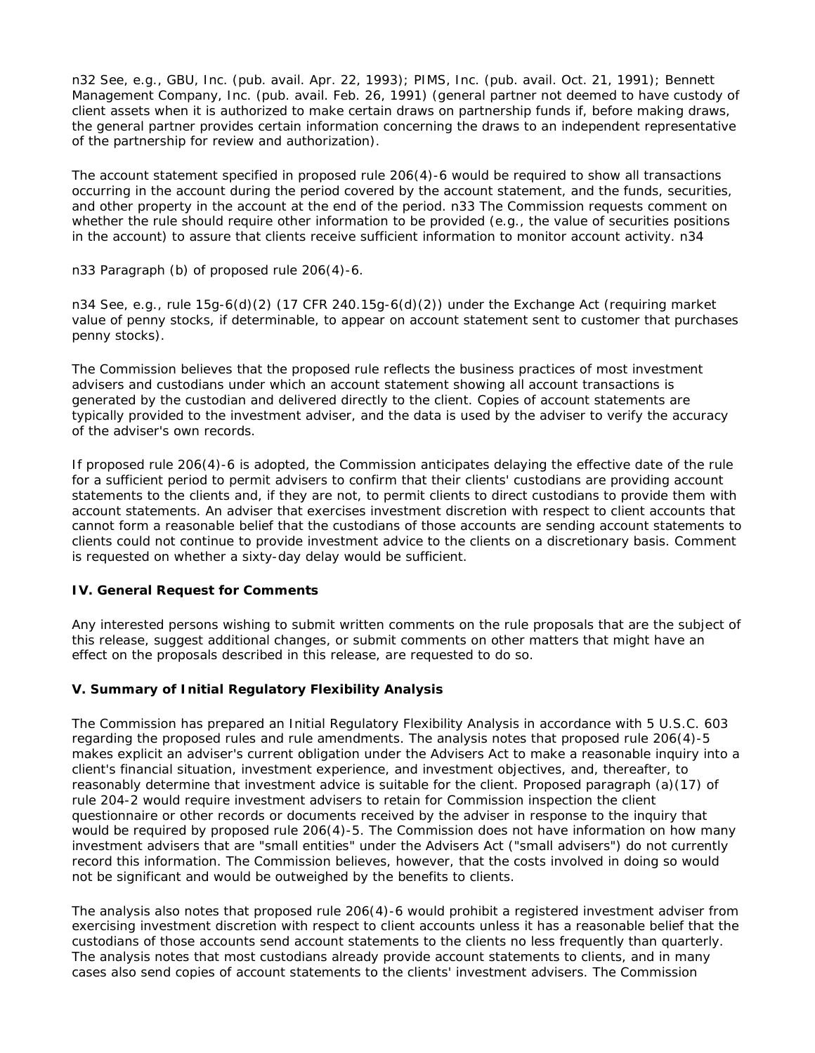n32 See, e.g., GBU, Inc. (pub. avail. Apr. 22, 1993); PIMS, Inc. (pub. avail. Oct. 21, 1991); Bennett Management Company, Inc. (pub. avail. Feb. 26, 1991) (general partner not deemed to have custody of client assets when it is authorized to make certain draws on partnership funds if, before making draws, the general partner provides certain information concerning the draws to an independent representative of the partnership for review and authorization).

The account statement specified in proposed rule 206(4)-6 would be required to show all transactions occurring in the account during the period covered by the account statement, and the funds, securities, and other property in the account at the end of the period. n33 The Commission requests comment on whether the rule should require other information to be provided (e.g., the value of securities positions in the account) to assure that clients receive sufficient information to monitor account activity. n34

n33 Paragraph (b) of proposed rule 206(4)-6.

n34 See, e.g., rule 15g-6(d)(2) (17 CFR 240.15g-6(d)(2)) under the Exchange Act (requiring market value of penny stocks, if determinable, to appear on account statement sent to customer that purchases penny stocks).

The Commission believes that the proposed rule reflects the business practices of most investment advisers and custodians under which an account statement showing all account transactions is generated by the custodian and delivered directly to the client. Copies of account statements are typically provided to the investment adviser, and the data is used by the adviser to verify the accuracy of the adviser's own records.

If proposed rule 206(4)-6 is adopted, the Commission anticipates delaying the effective date of the rule for a sufficient period to permit advisers to confirm that their clients' custodians are providing account statements to the clients and, if they are not, to permit clients to direct custodians to provide them with account statements. An adviser that exercises investment discretion with respect to client accounts that cannot form a reasonable belief that the custodians of those accounts are sending account statements to clients could not continue to provide investment advice to the clients on a discretionary basis. Comment is requested on whether a sixty-day delay would be sufficient.

### **IV. General Request for Comments**

Any interested persons wishing to submit written comments on the rule proposals that are the subject of this release, suggest additional changes, or submit comments on other matters that might have an effect on the proposals described in this release, are requested to do so.

### **V. Summary of Initial Regulatory Flexibility Analysis**

The Commission has prepared an Initial Regulatory Flexibility Analysis in accordance with 5 U.S.C. 603 regarding the proposed rules and rule amendments. The analysis notes that proposed rule 206(4)-5 makes explicit an adviser's current obligation under the Advisers Act to make a reasonable inquiry into a client's financial situation, investment experience, and investment objectives, and, thereafter, to reasonably determine that investment advice is suitable for the client. Proposed paragraph (a)(17) of rule 204-2 would require investment advisers to retain for Commission inspection the client questionnaire or other records or documents received by the adviser in response to the inquiry that would be required by proposed rule 206(4)-5. The Commission does not have information on how many investment advisers that are "small entities" under the Advisers Act ("small advisers") do not currently record this information. The Commission believes, however, that the costs involved in doing so would not be significant and would be outweighed by the benefits to clients.

The analysis also notes that proposed rule 206(4)-6 would prohibit a registered investment adviser from exercising investment discretion with respect to client accounts unless it has a reasonable belief that the custodians of those accounts send account statements to the clients no less frequently than quarterly. The analysis notes that most custodians already provide account statements to clients, and in many cases also send copies of account statements to the clients' investment advisers. The Commission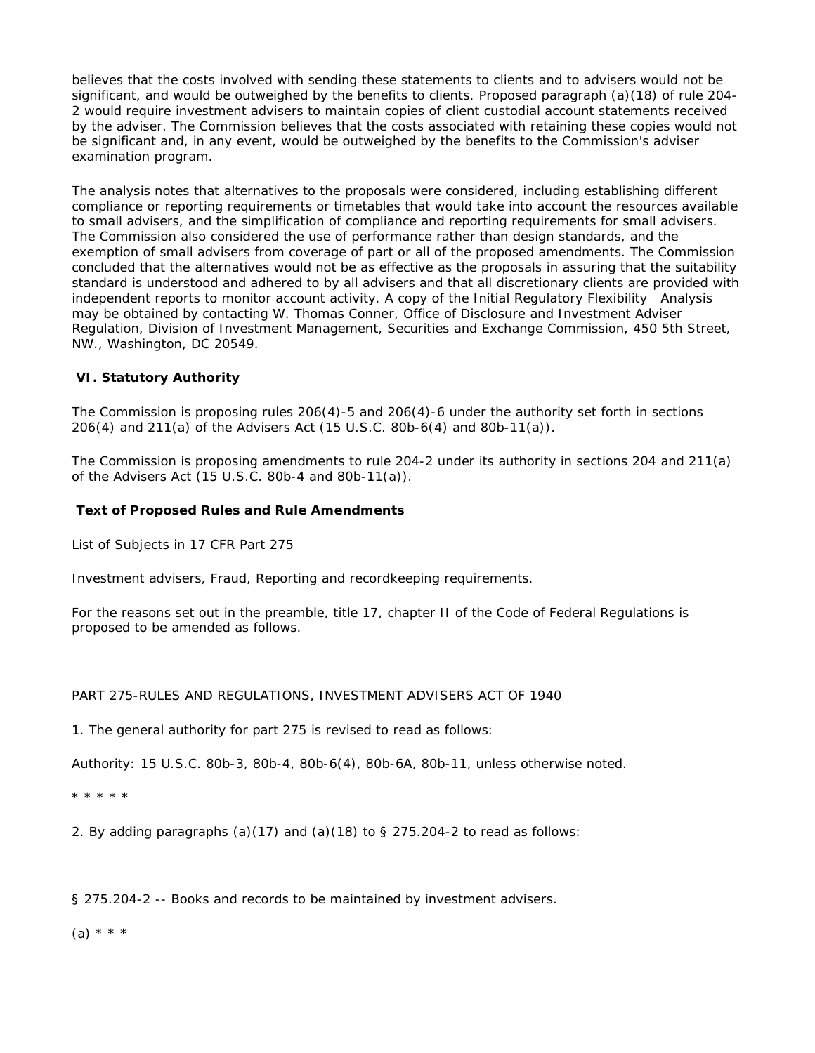believes that the costs involved with sending these statements to clients and to advisers would not be significant, and would be outweighed by the benefits to clients. Proposed paragraph (a)(18) of rule 204- 2 would require investment advisers to maintain copies of client custodial account statements received by the adviser. The Commission believes that the costs associated with retaining these copies would not be significant and, in any event, would be outweighed by the benefits to the Commission's adviser examination program.

The analysis notes that alternatives to the proposals were considered, including establishing different compliance or reporting requirements or timetables that would take into account the resources available to small advisers, and the simplification of compliance and reporting requirements for small advisers. The Commission also considered the use of performance rather than design standards, and the exemption of small advisers from coverage of part or all of the proposed amendments. The Commission concluded that the alternatives would not be as effective as the proposals in assuring that the suitability standard is understood and adhered to by all advisers and that all discretionary clients are provided with independent reports to monitor account activity. A copy of the Initial Regulatory Flexibility Analysis may be obtained by contacting W. Thomas Conner, Office of Disclosure and Investment Adviser Regulation, Division of Investment Management, Securities and Exchange Commission, 450 5th Street, NW., Washington, DC 20549.

## **VI. Statutory Authority**

The Commission is proposing rules 206(4)-5 and 206(4)-6 under the authority set forth in sections 206(4) and 211(a) of the Advisers Act (15 U.S.C. 80b-6(4) and 80b-11(a)).

The Commission is proposing amendments to rule 204-2 under its authority in sections 204 and 211(a) of the Advisers Act (15 U.S.C. 80b-4 and 80b-11(a)).

### **Text of Proposed Rules and Rule Amendments**

List of Subjects in 17 CFR Part 275

Investment advisers, Fraud, Reporting and recordkeeping requirements.

For the reasons set out in the preamble, title 17, chapter II of the Code of Federal Regulations is proposed to be amended as follows.

#### PART 275-RULES AND REGULATIONS, INVESTMENT ADVISERS ACT OF 1940

1. The general authority for part 275 is revised to read as follows:

Authority: 15 U.S.C. 80b-3, 80b-4, 80b-6(4), 80b-6A, 80b-11, unless otherwise noted.

\* \* \* \* \*

2. By adding paragraphs (a)(17) and (a)(18) to § 275.204-2 to read as follows:

§ 275.204-2 -- Books and records to be maintained by investment advisers.

(a)  $* * * *$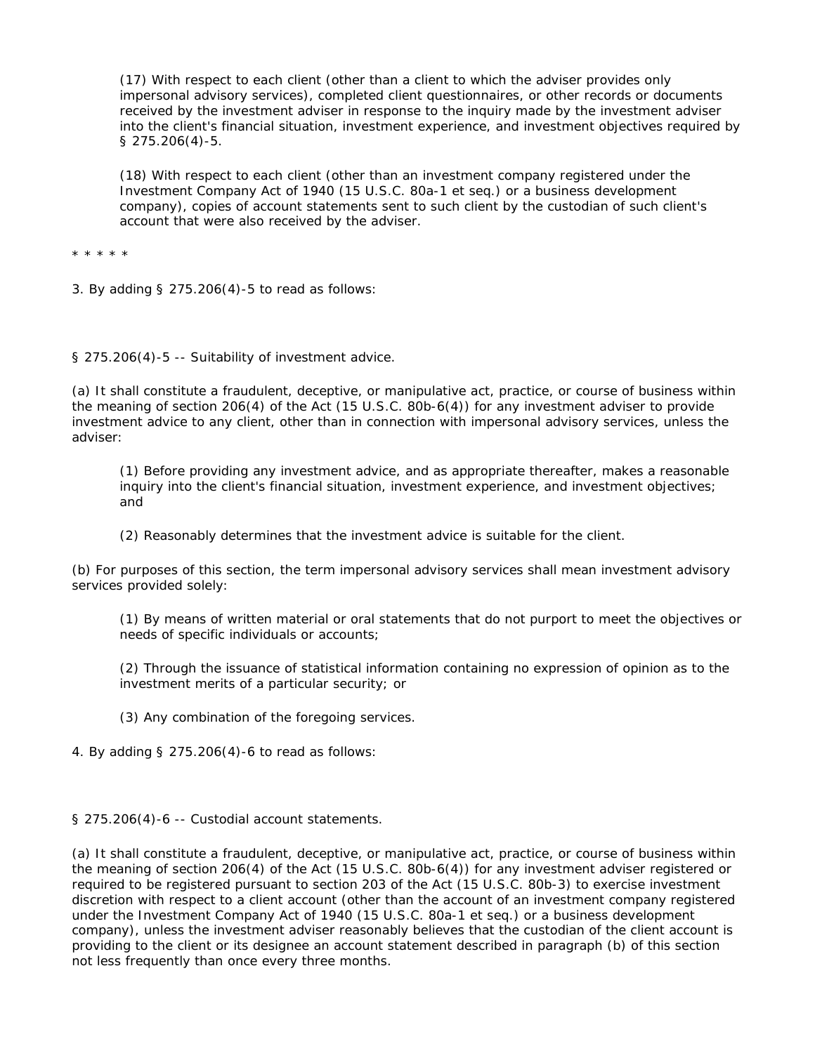(17) With respect to each client (other than a client to which the adviser provides only impersonal advisory services), completed client questionnaires, or other records or documents received by the investment adviser in response to the inquiry made by the investment adviser into the client's financial situation, investment experience, and investment objectives required by § 275.206(4)-5.

(18) With respect to each client (other than an investment company registered under the Investment Company Act of 1940 (15 U.S.C. 80a-1 et seq.) or a business development company), copies of account statements sent to such client by the custodian of such client's account that were also received by the adviser.

\* \* \* \* \*

3. By adding § 275.206(4)-5 to read as follows:

§ 275.206(4)-5 -- Suitability of investment advice.

(a) It shall constitute a fraudulent, deceptive, or manipulative act, practice, or course of business within the meaning of section 206(4) of the Act (15 U.S.C. 80b-6(4)) for any investment adviser to provide investment advice to any client, other than in connection with impersonal advisory services, unless the adviser:

(1) Before providing any investment advice, and as appropriate thereafter, makes a reasonable inquiry into the client's financial situation, investment experience, and investment objectives; and

(2) Reasonably determines that the investment advice is suitable for the client.

(b) For purposes of this section, the term impersonal advisory services shall mean investment advisory services provided solely:

(1) By means of written material or oral statements that do not purport to meet the objectives or needs of specific individuals or accounts;

(2) Through the issuance of statistical information containing no expression of opinion as to the investment merits of a particular security; or

(3) Any combination of the foregoing services.

4. By adding § 275.206(4)-6 to read as follows:

§ 275.206(4)-6 -- Custodial account statements.

(a) It shall constitute a fraudulent, deceptive, or manipulative act, practice, or course of business within the meaning of section 206(4) of the Act (15 U.S.C. 80b-6(4)) for any investment adviser registered or required to be registered pursuant to section 203 of the Act (15 U.S.C. 80b-3) to exercise investment discretion with respect to a client account (other than the account of an investment company registered under the Investment Company Act of 1940 (15 U.S.C. 80a-1 et seq.) or a business development company), unless the investment adviser reasonably believes that the custodian of the client account is providing to the client or its designee an account statement described in paragraph (b) of this section not less frequently than once every three months.